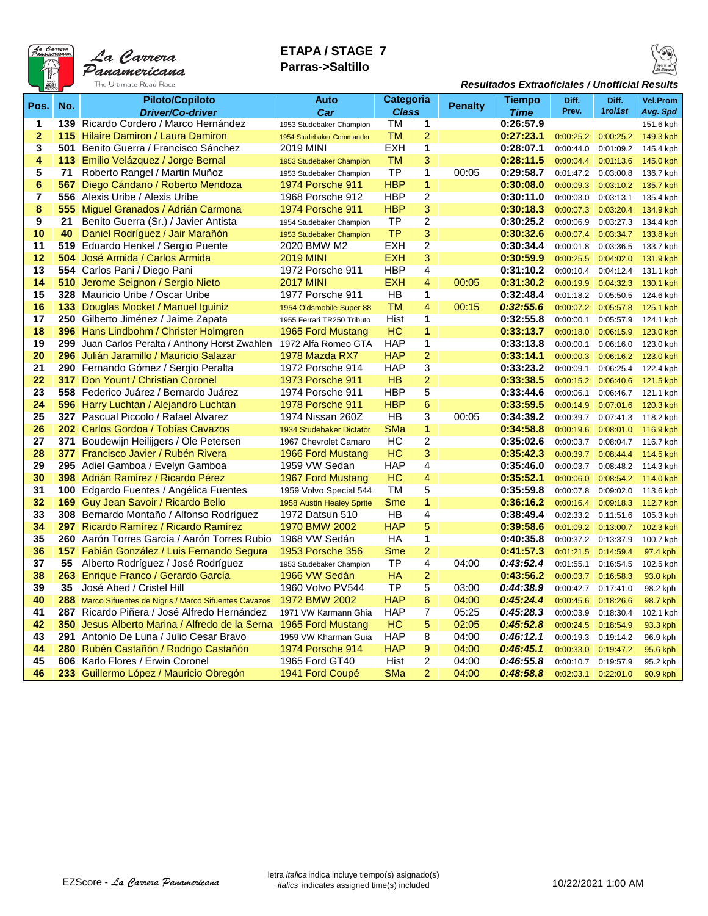

# **ETAPA / STAGE 7 Parras->Saltillo**



#### *Resultados Extraoficiales / Unofficial Results*

|                |                  | <b>Piloto/Copiloto</b>                              | Auto                                         | Categoria    |                         |         | <b>Tiempo</b>          | Diff.                  | Diff.     | <b>Vel.Prom</b> |
|----------------|------------------|-----------------------------------------------------|----------------------------------------------|--------------|-------------------------|---------|------------------------|------------------------|-----------|-----------------|
| Pos.           | No.              | <b>Driver/Co-driver</b>                             | Car                                          | <b>Class</b> |                         | Penalty | Time                   | Prev.                  | 1ro/1st   | Avg. Spd        |
| 1              |                  | 139 Ricardo Cordero / Marco Hernández               | 1953 Studebaker Champion                     | ТM           | 1                       |         | 0:26:57.9              |                        |           | 151.6 kph       |
| $\overline{2}$ |                  | <b>115 Hilaire Damiron / Laura Damiron</b>          | 1954 Studebaker Commander                    | тм           | $\overline{2}$          |         | 0:27:23.1              | 0:00:25.2              | 0:00:25.2 | 149.3 kph       |
| 3              |                  | 501 Benito Guerra / Francisco Sánchez               | <b>2019 MINI</b>                             | <b>EXH</b>   | 1                       |         | 0:28:07.1              | 0:00:44.0              | 0:01:09.2 | 145.4 kph       |
| 4              |                  | 113 Emilio Velázquez / Jorge Bernal                 |                                              | <b>TM</b>    | 3                       |         | 0:28:11.5              | 0:00:04.4              | 0:01:13.6 |                 |
| 5              | 71               | Roberto Rangel / Martin Muñoz                       | 1953 Studebaker Champion                     | TP           | $\mathbf 1$             | 00:05   | 0:29:58.7              |                        |           | 145.0 kph       |
| 6              | 567              | Diego Cándano / Roberto Mendoza                     | 1953 Studebaker Champion<br>1974 Porsche 911 | <b>HBP</b>   | 1                       |         | 0:30:08.0              | 0:01:47.2<br>0:00:09.3 | 0:03:00.8 | 136.7 kph       |
| $\overline{7}$ | 556              | Alexis Uribe / Alexis Uribe                         |                                              | <b>HBP</b>   | $\overline{2}$          |         |                        |                        | 0:03:10.2 | 135.7 kph       |
| 8              |                  |                                                     | 1968 Porsche 912<br><b>1974 Porsche 911</b>  | <b>HBP</b>   | 3                       |         | 0:30:11.0<br>0:30:18.3 | 0:00:03.0              | 0:03:13.1 | 135.4 kph       |
| 9              |                  | 555 Miguel Granados / Adrián Carmona                |                                              | TP           | $\overline{c}$          |         | 0:30:25.2              | 0:00:07.3              | 0:03:20.4 | 134.9 kph       |
|                | 21               | Benito Guerra (Sr.) / Javier Antista                | 1954 Studebaker Champion                     |              |                         |         |                        | 0:00:06.9              | 0:03:27.3 | 134.4 kph       |
| 10             | 40               | Daniel Rodríguez / Jair Marañón                     | 1953 Studebaker Champion                     | <b>TP</b>    | 3                       |         | 0:30:32.6              | 0:00:07.4              | 0:03:34.7 | 133.8 kph       |
| 11             | 504              | 519 Eduardo Henkel / Sergio Puente                  | 2020 BMW M2                                  | EXH          | $\overline{c}$          |         | 0:30:34.4              | 0:00:01.8              | 0:03:36.5 | 133.7 kph       |
| 12             |                  | José Armida / Carlos Armida                         | <b>2019 MINI</b>                             | <b>EXH</b>   | 3                       |         | 0:30:59.9              | 0:00:25.5              | 0:04:02.0 | 131.9 kph       |
| 13             |                  | 554 Carlos Pani / Diego Pani                        | 1972 Porsche 911                             | <b>HBP</b>   | $\overline{4}$          |         | 0:31:10.2              | 0:00:10.4              | 0:04:12.4 | 131.1 kph       |
| 14             | 510              | Jerome Seignon / Sergio Nieto                       | <b>2017 MINI</b>                             | <b>EXH</b>   | $\overline{4}$          | 00:05   | 0:31:30.2              | 0:00:19.9              | 0:04:32.3 | 130.1 kph       |
| 15             |                  | 328 Mauricio Uribe / Oscar Uribe                    | 1977 Porsche 911                             | HB           | 1                       |         | 0:32:48.4              | 0:01:18.2              | 0:05:50.5 | 124.6 kph       |
| 16             | 133 <sub>1</sub> | Douglas Mocket / Manuel Iguiniz                     | 1954 Oldsmobile Super 88                     | TM           | 4                       | 00:15   | 0:32:55.6              | 0:00:07.2              | 0:05:57.8 | 125.1 kph       |
| 17             |                  | 250 Gilberto Jiménez / Jaime Zapata                 | 1955 Ferrari TR250 Tributo                   | Hist         | 1                       |         | 0:32:55.8              | 0:00:00.1              | 0:05:57.9 | 124.1 kph       |
| 18             |                  | 396 Hans Lindbohm / Christer Holmgren               | 1965 Ford Mustang                            | HC           | 1                       |         | 0:33:13.7              | 0:00:18.0              | 0:06:15.9 | 123.0 kph       |
| 19             |                  | 299 Juan Carlos Peralta / Anthony Horst Zwahlen     | 1972 Alfa Romeo GTA                          | <b>HAP</b>   | $\overline{\mathbf{1}}$ |         | 0:33:13.8              | 0:00:00.1              | 0:06:16.0 | 123.0 kph       |
| 20             |                  | 296 Julián Jaramillo / Mauricio Salazar             | 1978 Mazda RX7                               | <b>HAP</b>   | $\overline{2}$          |         | 0:33:14.1              | 0:00:00.3              | 0:06:16.2 | 123.0 kph       |
| 21             |                  | 290 Fernando Gómez / Sergio Peralta                 | 1972 Porsche 914                             | HAP          | $\overline{3}$          |         | 0:33:23.2              | 0:00:09.1              | 0:06:25.4 | 122.4 kph       |
| 22             | 317              | Don Yount / Christian Coronel                       | <b>1973 Porsche 911</b>                      | <b>HB</b>    | $\overline{2}$          |         | 0:33:38.5              | 0:00:15.2              | 0:06:40.6 | 121.5 kph       |
| 23             |                  | 558 Federico Juárez / Bernardo Juárez               | 1974 Porsche 911                             | <b>HBP</b>   | 5                       |         | 0:33:44.6              | 0:00:06.1              | 0:06:46.7 | 121.1 kph       |
| 24             |                  | 596 Harry Luchtan / Alejandro Luchtan               | 1978 Porsche 911                             | <b>HBP</b>   | 6                       |         | 0:33:59.5              | 0:00:14.9              | 0:07:01.6 | 120.3 kph       |
| 25             |                  | 327 Pascual Piccolo / Rafael Alvarez                | 1974 Nissan 260Z                             | HB           | $\overline{3}$          | 00:05   | 0:34:39.2              | 0:00:39.7              | 0:07:41.3 | 118.2 kph       |
| 26             |                  | 202 Carlos Gordoa / Tobías Cavazos                  | 1934 Studebaker Dictator                     | SMa          | $\mathbf{1}$            |         | 0:34:58.8              | 0:00:19.6              | 0:08:01.0 | 116.9 kph       |
| 27             |                  | 371 Boudewijn Heilijgers / Ole Petersen             | 1967 Chevrolet Camaro                        | HС           | 2                       |         | 0:35:02.6              | 0:00:03.7              | 0:08:04.7 | 116.7 kph       |
| 28             |                  | 377 Francisco Javier / Rubén Rivera                 | 1966 Ford Mustang                            | HC           | 3                       |         | 0:35:42.3              | 0:00:39.7              | 0:08:44.4 | 114.5 kph       |
| 29             |                  | 295 Adiel Gamboa / Evelyn Gamboa                    | 1959 VW Sedan                                | <b>HAP</b>   | $\overline{4}$          |         | 0:35:46.0              | 0:00:03.7              | 0:08:48.2 | 114.3 kph       |
| 30             |                  | 398 Adrián Ramírez / Ricardo Pérez                  | 1967 Ford Mustang                            | HC           | $\overline{4}$          |         | 0:35:52.1              | 0:00:06.0              | 0:08:54.2 | 114.0 kph       |
| 31             |                  | 100 Edgardo Fuentes / Angélica Fuentes              | 1959 Volvo Special 544                       | <b>TM</b>    | 5                       |         | 0:35:59.8              | 0:00:07.8              | 0:09:02.0 | 113.6 kph       |
| 32             |                  | 169 Guy Jean Savoir / Ricardo Bello                 | 1958 Austin Healey Sprite                    | <b>Sme</b>   | 1                       |         | 0:36:16.2              | 0:00:16.4              | 0:09:18.3 | 112.7 kph       |
| 33             |                  | 308 Bernardo Montaño / Alfonso Rodríguez            | 1972 Datsun 510                              | HB           | $\overline{4}$          |         | 0:38:49.4              | 0:02:33.2              | 0:11:51.6 | 105.3 kph       |
| 34             | 297              | Ricardo Ramírez / Ricardo Ramírez                   | 1970 BMW 2002                                | <b>HAP</b>   | 5                       |         | 0:39:58.6              | 0:01:09.2              | 0:13:00.7 | 102.3 kph       |
| 35             |                  | 260 Aarón Torres García / Aarón Torres Rubio        | 1968 VW Sedán                                | HA           | $\mathbf 1$             |         | 0:40:35.8              | 0:00:37.2              | 0:13:37.9 | 100.7 kph       |
| 36             | 157.             | Fabián González / Luis Fernando Segura              | 1953 Porsche 356                             | <b>Sme</b>   | $\overline{2}$          |         | 0:41:57.3              | 0:01:21.5              | 0:14:59.4 | 97.4 kph        |
| 37             | 55               | Alberto Rodríguez / José Rodríguez                  | 1953 Studebaker Champion                     | TP           | $\overline{4}$          | 04:00   | 0.43.52.4              | 0:01:55.1              | 0:16:54.5 | 102.5 kph       |
| 38             | 263              | Enrique Franco / Gerardo García                     | 1966 VW Sedán                                | HA           | $\overline{2}$          |         | 0:43:56.2              | 0:00:03.7              | 0:16:58.3 | 93.0 kph        |
| 39             | 35               | José Abed / Cristel Hill                            | 1960 Volvo PV544                             | TP           | $\overline{5}$          | 03:00   | 0:44:38.9              | 0:00:42.7              | 0:17:41.0 | 98.2 kph        |
| 40             | 288              | Marco Sifuentes de Nigris / Marco Sifuentes Cavazos | 1972 BMW 2002                                | <b>HAP</b>   | $6\phantom{1}6$         | 04:00   | 0.45.24.4              | 0:00:45.6              | 0:18:26.6 | 98.7 kph        |
| 41             | 287              | Ricardo Piñera / José Alfredo Hernández             | 1971 VW Karmann Ghia                         | <b>HAP</b>   | 7                       | 05:25   | 0.45.28.3              | 0:00:03.9              | 0:18:30.4 | 102.1 kph       |
| 42             | 350              | Jesus Alberto Marina / Alfredo de la Serna          | 1965 Ford Mustang                            | HC           | 5                       | 02:05   | 0.45:52.8              | 0:00:24.5              | 0:18:54.9 | 93.3 kph        |
| 43             |                  | 291 Antonio De Luna / Julio Cesar Bravo             | 1959 VW Kharman Guia                         | <b>HAP</b>   | 8                       | 04:00   | 0.46.12.1              | 0:00:19.3              | 0:19:14.2 | 96.9 kph        |
| 44             |                  | 280 Rubén Castañón / Rodrigo Castañón               | <b>1974 Porsche 914</b>                      | <b>HAP</b>   | 9                       | 04:00   | 0:46:45.1              | 0:00:33.0              | 0:19:47.2 | 95.6 kph        |
| 45             |                  | 606 Karlo Flores / Erwin Coronel                    | 1965 Ford GT40                               | Hist         | $\overline{2}$          | 04:00   | 0.46.55.8              | 0:00:10.7              | 0:19:57.9 | 95.2 kph        |
| 46             |                  | 233 Guillermo López / Mauricio Obregón              | 1941 Ford Coupé                              | SMa          | $\overline{2}$          | 04:00   | 0.48.58.8              | 0:02:03.1              | 0:22:01.0 | 90.9 kph        |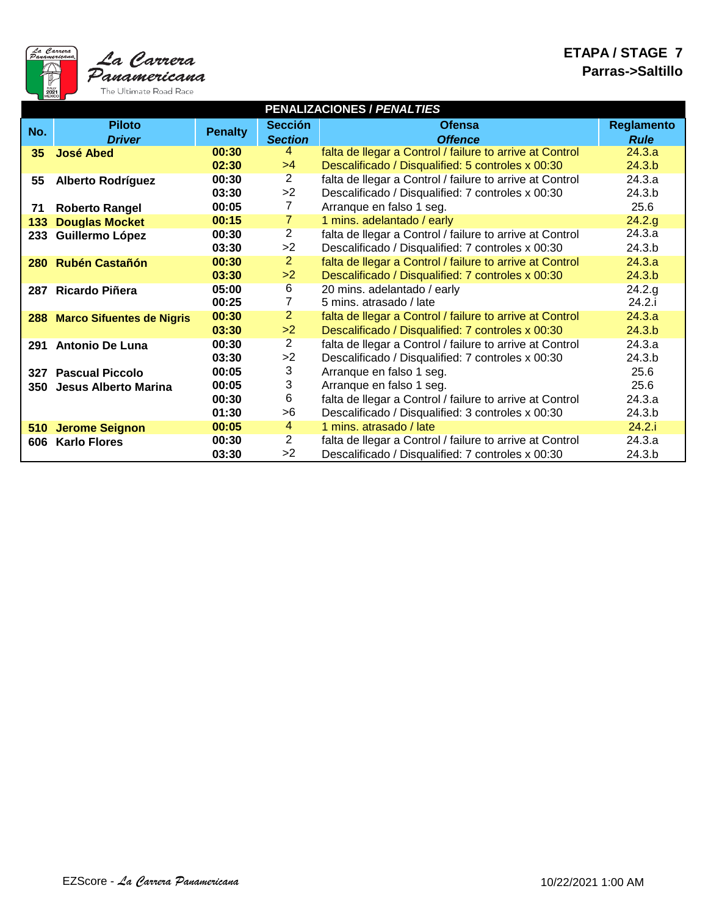

|     | PENALIZACIONES / PENALTIES    |                |                 |                                                          |                   |  |  |  |  |  |  |  |  |  |
|-----|-------------------------------|----------------|-----------------|----------------------------------------------------------|-------------------|--|--|--|--|--|--|--|--|--|
| No. | <b>Piloto</b>                 |                | <b>Sección</b>  | <b>Ofensa</b>                                            | <b>Reglamento</b> |  |  |  |  |  |  |  |  |  |
|     | <b>Driver</b>                 | <b>Penalty</b> | <b>Section</b>  | <b>Offence</b>                                           | <b>Rule</b>       |  |  |  |  |  |  |  |  |  |
| 35  | <b>José Abed</b>              | 00:30          | 4               | falta de llegar a Control / failure to arrive at Control | 24.3.a            |  |  |  |  |  |  |  |  |  |
|     |                               | 02:30          | >4              | Descalificado / Disqualified: 5 controles x 00:30        | 24.3.b            |  |  |  |  |  |  |  |  |  |
| 55  | <b>Alberto Rodríguez</b>      | 00:30          | $\overline{2}$  | falta de llegar a Control / failure to arrive at Control | 24.3.a            |  |  |  |  |  |  |  |  |  |
|     |                               | 03:30          | >2              | Descalificado / Disqualified: 7 controles x 00:30        | 24.3.b            |  |  |  |  |  |  |  |  |  |
| 71  | <b>Roberto Rangel</b>         | 00:05          | $\overline{7}$  | Arranque en falso 1 seg.                                 | 25.6              |  |  |  |  |  |  |  |  |  |
| 133 | <b>Douglas Mocket</b>         | 00:15          | $\overline{7}$  | 1 mins. adelantado / early                               | 24.2.g            |  |  |  |  |  |  |  |  |  |
| 233 | Guillermo López               | 00:30          | $\overline{2}$  | falta de llegar a Control / failure to arrive at Control | 24.3.a            |  |  |  |  |  |  |  |  |  |
|     |                               | 03:30          | >2              | Descalificado / Disqualified: 7 controles x 00:30        | 24.3.b            |  |  |  |  |  |  |  |  |  |
|     | 280 Rubén Castañón            | 00:30          | $\overline{2}$  | falta de llegar a Control / failure to arrive at Control | 24.3.a            |  |  |  |  |  |  |  |  |  |
|     |                               | 03:30          | >2              | Descalificado / Disqualified: 7 controles x 00:30        | 24.3.b            |  |  |  |  |  |  |  |  |  |
|     | 287 Ricardo Piñera            | 05:00          | $6 \overline{}$ | 20 mins. adelantado / early                              | 24.2.g            |  |  |  |  |  |  |  |  |  |
|     |                               | 00:25          | 7               | 5 mins. atrasado / late                                  | 24.2.i            |  |  |  |  |  |  |  |  |  |
|     | 288 Marco Sifuentes de Nigris | 00:30          | $\overline{2}$  | falta de llegar a Control / failure to arrive at Control | 24.3.a            |  |  |  |  |  |  |  |  |  |
|     |                               | 03:30          | >2              | Descalificado / Disqualified: 7 controles x 00:30        | 24.3.b            |  |  |  |  |  |  |  |  |  |
|     | 291 Antonio De Luna           | 00:30          | $\overline{2}$  | falta de llegar a Control / failure to arrive at Control | 24.3.a            |  |  |  |  |  |  |  |  |  |
|     |                               | 03:30          | >2              | Descalificado / Disqualified: 7 controles x 00:30        | 24.3.b            |  |  |  |  |  |  |  |  |  |
|     | 327 Pascual Piccolo           | 00:05          | 3               | Arranque en falso 1 seg.                                 | 25.6              |  |  |  |  |  |  |  |  |  |
|     | 350 Jesus Alberto Marina      | 00:05          | 3               | Arranque en falso 1 seg.                                 | 25.6              |  |  |  |  |  |  |  |  |  |
|     |                               | 00:30          | 6               | falta de llegar a Control / failure to arrive at Control | 24.3.a            |  |  |  |  |  |  |  |  |  |
|     |                               | 01:30          | >6              | Descalificado / Disqualified: 3 controles x 00:30        | 24.3.b            |  |  |  |  |  |  |  |  |  |
|     | 510 Jerome Seignon            | 00:05          | 4               | 1 mins. atrasado / late                                  | 24.2.i            |  |  |  |  |  |  |  |  |  |
| 606 | <b>Karlo Flores</b>           | 00:30          | 2               | falta de llegar a Control / failure to arrive at Control | 24.3.a            |  |  |  |  |  |  |  |  |  |
|     |                               | 03:30          | >2              | Descalificado / Disqualified: 7 controles x 00:30        | 24.3.b            |  |  |  |  |  |  |  |  |  |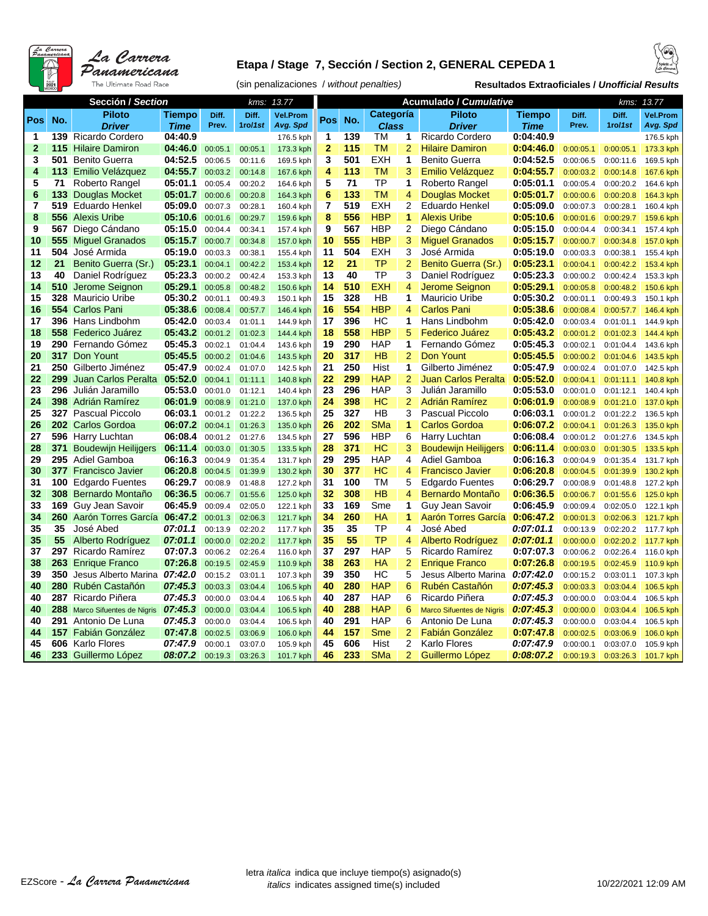

## **Etapa / Stage 7, Sección / Section 2, GENERAL CEPEDA 1**



(sin penalizaciones / *without penalties)* **Resultados Extraoficiales /** *Unofficial Results*

|              |     | Sección / Section                      |                    | 13.77<br>kms:      |                    |                        |                         |            |              | Acumulado / Cumulative | 13.77<br>kms:                                |                        |                        |                        |                        |
|--------------|-----|----------------------------------------|--------------------|--------------------|--------------------|------------------------|-------------------------|------------|--------------|------------------------|----------------------------------------------|------------------------|------------------------|------------------------|------------------------|
|              |     | <b>Piloto</b>                          | Tiempo             | Diff.              | Diff.              | <b>Vel.Prom</b>        |                         |            | Categoría    |                        | <b>Piloto</b>                                | Tiempo                 | Diff.                  | Diff.                  | <b>Vel.Prom</b>        |
| Pos          | No. | <b>Driver</b>                          | <b>Time</b>        | Prev.              | 1ro/1st            | Avg. Spd               | Pos                     | No.        | <b>Class</b> |                        | <b>Driver</b>                                | <b>Time</b>            | Prev.                  | 1ro/1st                | Avg. Spd               |
| 1            |     | 139 Ricardo Cordero                    | 04:40.9            |                    |                    | 176.5 kph              | 1                       | 139        | TM           | 1                      | Ricardo Cordero                              | 0:04:40.9              |                        |                        | 176.5 kph              |
| $\mathbf{2}$ | 115 | <b>Hilaire Damiron</b>                 | 04:46.0            | 00:05.1            | 00:05.1            | 173.3 kph              | $\overline{2}$          | 115        | <b>TM</b>    | $\overline{2}$         | <b>Hilaire Damiron</b>                       | 0:04:46.0              | 0:00:05.1              | 0:00:05.1              | 173.3 kph              |
| 3            | 501 | <b>Benito Guerra</b>                   | 04:52.5            | 00:06.5            | 00:11.6            | 169.5 kph              | 3                       | 501        | <b>EXH</b>   | 1                      | <b>Benito Guerra</b>                         | 0:04:52.5              | 0:00:06.5              | 0:00:11.6              | 169.5 kph              |
| 4            | 113 | Emilio Velázquez                       | 04:55.7            | 00:03.2            | 00:14.8            | 167.6 kph              | $\overline{\mathbf{4}}$ | 113        | <b>TM</b>    | 3                      | Emilio Velázquez                             | 0:04:55.7              | 0:00:03.2              | 0:00:14.8              | 167.6 kph              |
| 5            | 71  | Roberto Rangel                         | 05:01.1            | 00:05.4            | 00:20.2            | 164.6 kph              | 5                       | 71         | TP           | 1                      | Roberto Rangel                               | 0:05:01.1              | 0:00:05.4              | 0:00:20.2              | 164.6 kph              |
| 6            | 133 | Douglas Mocket                         | 05:01.7            | 00:00.6            | 00:20.8            | 164.3 kph              | $6\phantom{1}6$         | 133        | <b>TM</b>    | 4                      | Douglas Mocket                               | 0:05:01.7              | 0:00:00.6              | 0:00:20.8              | 164.3 kph              |
| 7            |     | 519 Eduardo Henkel                     | 05:09.0            | 00:07.3            | 00:28.1            | 160.4 kph              | $\overline{7}$          | 519        | <b>EXH</b>   | 2                      | Eduardo Henkel                               | 0:05:09.0              | 0:00:07.3              | 0:00:28.1              | 160.4 kph              |
| 8            | 556 | <b>Alexis Uribe</b>                    | 05:10.6            | 00:01.6            | 00:29.7            | 159.6 kph              | 8                       | 556        | <b>HBP</b>   | 1                      | <b>Alexis Uribe</b>                          | 0:05:10.6              | 0:00:01.6              | 0:00:29.7              | 159.6 kph              |
| 9            | 567 | Diego Cándano                          | 05:15.0            | 00:04.4            | 00:34.1            | 157.4 kph              | 9                       | 567        | <b>HBP</b>   | 2                      | Diego Cándano                                | 0:05:15.0              | 0:00:04.4              | 0:00:34.1              | 157.4 kph              |
| 10           | 555 | <b>Miguel Granados</b>                 | 05:15.7            | 00:00.7            | 00:34.8            | 157.0 kph              | 10                      | 555        | <b>HBP</b>   | 3                      | <b>Miquel Granados</b>                       | 0:05:15.7              | 0:00:00.7              | 0:00:34.8              | 157.0 kph              |
| 11           | 504 | José Armida                            | 05:19.0            | 00:03.3            | 00:38.1            | 155.4 kph              | 11                      | 504        | <b>EXH</b>   | 3                      | José Armida                                  | 0:05:19.0              | 0:00:03.3              | 0:00:38.1              | 155.4 kph              |
| 12           | 21  | Benito Guerra (Sr.)                    | 05:23.1            | 00:04.1            | 00:42.2            | 153.4 kph              | 12                      | 21         | <b>TP</b>    | $\overline{c}$         | Benito Guerra (Sr.)                          | 0:05:23.1              | 0:00:04.1              | 0:00:42.2              | 153.4 kph              |
| 13           | 40  | Daniel Rodríguez                       | 05:23.3            | 00:00.2            | 00:42.4            | 153.3 kph              | 13                      | 40         | TP           | 3                      | Daniel Rodríguez                             | 0:05:23.3              | 0:00:00.2              | 0:00:42.4              | 153.3 kph              |
| 14           | 510 | Jerome Seignon                         | 05:29.1            | 00:05.8            | 00:48.2            | 150.6 kph              | 14                      | 510        | <b>EXH</b>   | 4                      | Jerome Seignon                               | 0:05:29.1              | 0:00:05.8              | 0:00:48.2              | 150.6 kph              |
| 15           | 328 | Mauricio Uribe                         | 05:30.2            | 00:01.1            | 00:49.3            | 150.1 kph              | 15                      | 328        | HB           | 1                      | <b>Mauricio Uribe</b>                        | 0:05:30.2              | 0:00:01.1              | 0:00:49.3              | 150.1 kph              |
| 16           | 554 | <b>Carlos Pani</b>                     | 05:38.6            | 00:08.4            | 00:57.7            | 146.4 kph              | 16                      | 554        | <b>HBP</b>   | 4                      | <b>Carlos Pani</b>                           | 0:05:38.6              | 0:00:08.4              | 0:00:57.7              | 146.4 kph              |
| 17           |     | 396 Hans Lindbohm                      | 05:42.0            | 00:03.4            | 01:01.1            | 144.9 kph              | 17                      | 396        | НC           | 1                      | Hans Lindbohm                                | 0:05:42.0              | 0:00:03.4              | 0:01:01.1              | 144.9 kph              |
| 18           |     | 558 Federico Juárez                    | 05:43.2            | 00:01.2            | 01:02.3            | 144.4 kph              | 18                      | 558        | <b>HBP</b>   | 5                      | Federico Juárez                              | 0:05:43.2              | 0:00:01.2              | 0:01:02.3              | 144.4 kph              |
| 19           |     | 290 Fernando Gómez                     | 05:45.3            | 00:02.1            | 01:04.4            | 143.6 kph              | 19                      | 290        | <b>HAP</b>   | 1                      | Fernando Gómez                               | 0:05:45.3              | 0:00:02.1              | 0:01:04.4              | 143.6 kph              |
| 20           |     | <b>317</b> Don Yount                   | 05:45.5            | 00:00.2            | 01:04.6            | 143.5 kph              | 20                      | 317        | HB           | $\overline{2}$         | Don Yount                                    | 0:05:45.5              | 0:00:00.2              | 0:01:04.6              | 143.5 kph              |
| 21           |     | 250 Gilberto Jiménez                   | 05:47.9            | 00:02.4            | 01:07.0            | 142.5 kph              | 21                      | 250        | Hist         | 1                      | Gilberto Jiménez                             | 0:05:47.9              | 0:00:02.4              | 0:01:07.0              | 142.5 kph              |
| 22           | 299 | Juan Carlos Peralta                    | 05:52.0            | 00:04.1            | 01:11.1            | 140.8 kph              | 22                      | 299        | <b>HAP</b>   | $\overline{2}$         | <b>Juan Carlos Peralta</b>                   | 0:05:52.0              | 0:00:04.1              | 0:01:11.1              | 140.8 kph              |
| 23           |     | 296 Julián Jaramillo                   | 05:53.0            | 00:01.0            | 01:12.1            | 140.4 kph              | 23                      | 296        | <b>HAP</b>   | 3                      | Julián Jaramillo                             | 0:05:53.0              | 0:00:01.0              | 0:01:12.1              | 140.4 kph              |
| 24<br>25     |     | 398 Adrián Ramírez                     | 06:01.9            | 00:08.9            | 01:21.0            | 137.0 kph              | 24<br>25                | 398<br>327 | HC<br>НB     | $\overline{2}$<br>3    | Adrián Ramírez                               | 0:06:01.9<br>0:06:03.1 | 0:00:08.9              | 0:01:21.0              | 137.0 kph              |
| 26           |     | 327 Pascual Piccolo                    | 06:03.1            | 00:01.2            | 01:22.2            | 136.5 kph              |                         | 202        | <b>SMa</b>   | 1                      | <b>Pascual Piccolo</b>                       |                        | 0:00:01.2              | 0:01:22.2              | 136.5 kph              |
| 27           |     | 202 Carlos Gordoa<br>596 Harry Luchtan | 06:07.2<br>06:08.4 | 00:04.1            | 01:26.3            | 135.0 kph              | 26<br>27                | 596        | <b>HBP</b>   | 6                      | <b>Carlos Gordoa</b>                         | 0:06:07.2<br>0:06:08.4 | 0:00:04.1              | 0:01:26.3              | 135.0 kph              |
| 28           |     | <b>371</b> Boudewijn Heilijgers        | 06:11.4            | 00:01.2<br>00:03.0 | 01:27.6<br>01:30.5 | 134.5 kph<br>133.5 kph | 28                      | 371        | <b>HC</b>    | 3                      | Harry Luchtan<br><b>Boudewijn Heilijgers</b> | 0:06:11.4              | 0:00:01.2<br>0:00:03.0 | 0:01:27.6<br>0:01:30.5 | 134.5 kph<br>133.5 kph |
| 29           |     | 295 Adiel Gamboa                       | 06:16.3            | 00:04.9            | 01:35.4            | 131.7 kph              | 29                      | 295        | <b>HAP</b>   | 4                      | Adiel Gamboa                                 | 0:06:16.3              | 0:00:04.9              | 0:01:35.4              | 131.7 kph              |
| 30           |     | 377 Francisco Javier                   | 06:20.8            | 00:04.5            | 01:39.9            | 130.2 kph              | 30                      | 377        | <b>HC</b>    | $\overline{4}$         | <b>Francisco Javier</b>                      | 0:06:20.8              | 0:00:04.5              | 0:01:39.9              | 130.2 kph              |
| 31           |     | 100 Edgardo Fuentes                    | 06:29.7            | 00:08.9            | 01:48.8            | 127.2 kph              | 31                      | 100        | ТM           | 5                      | <b>Edgardo Fuentes</b>                       | 0:06:29.7              | 0:00:08.9              | 0:01:48.8              | 127.2 kph              |
| 32           |     | 308 Bernardo Montaño                   | 06:36.5            | 00:06.7            | 01:55.6            | 125.0 kph              | 32                      | 308        | HB           | 4                      | Bernardo Montaño                             | 0:06:36.5              | 0:00:06.7              | 0:01:55.6              | 125.0 kph              |
| 33           |     | 169 Guy Jean Savoir                    | 06:45.9            | 00:09.4            | 02:05.0            | 122.1 kph              | 33                      | 169        | Sme          | 1                      | Guy Jean Savoir                              | 0:06:45.9              | 0:00:09.4              | 0:02:05.0              | 122.1 kph              |
| 34           |     | 260 Aarón Torres García                | 06:47.2            | 00:01.3            | 02:06.3            | 121.7 kph              | 34                      | 260        | <b>HA</b>    | 1                      | Aarón Torres García                          | 0:06:47.2              | 0:00:01.3              | 0:02:06.3              | 121.7 kph              |
| 35           | 35  | José Abed                              | 07:01.1            | 00:13.9            | 02:20.2            | 117.7 kph              | 35                      | 35         | ТP           | 4                      | José Abed                                    | 0:07:01.1              | 0:00:13.9              | 0:02:20.2              | 117.7 kph              |
| 35           | 55  | Alberto Rodríguez                      | 07:01.1            | 00:00.0            | 02:20.2            | 117.7 kph              | 35                      | 55         | TP           | 4                      | Alberto Rodríguez                            | 0:07:01.1              | 0:00:00.0              | 0:02:20.2              | 117.7 kph              |
| 37           | 297 | Ricardo Ramírez                        | 07:07.3            | 00:06.2            | 02:26.4            | 116.0 kph              | 37                      | 297        | <b>HAP</b>   | 5                      | Ricardo Ramírez                              | 0:07:07.3              | 0:00:06.2              | 0:02:26.4              | 116.0 kph              |
| 38           |     | 263 Enrique Franco                     | 07:26.8            | 00:19.5            | 02:45.9            | 110.9 kph              | 38                      | 263        | <b>HA</b>    | $\overline{2}$         | <b>Enrique Franco</b>                        | 0:07:26.8              | 0:00:19.5              | 0:02:45.9              | 110.9 kph              |
| 39           | 350 | Jesus Alberto Marina                   | 07:42.0            | 00:15.2            | 03:01.1            | 107.3 kph              | 39                      | 350        | HC           | 5                      | Jesus Alberto Marina                         | 0:07:42.0              | 0:00:15.2              | 0:03:01.1              | 107.3 kph              |
| 40           | 280 | Rubén Castañón                         | 07:45.3            | 00:03.3            | 03:04.4            | 106.5 kph              | 40                      | 280        | <b>HAP</b>   | 6                      | Rubén Castañón                               | 0:07:45.3              | 0:00:03.3              | 0:03:04.4              | 106.5 kph              |
| 40           |     | 287 Ricardo Piñera                     | 07:45.3            | 00:00.0            | 03:04.4            | 106.5 kph              | 40                      | 287        | <b>HAP</b>   | 6                      | Ricardo Piñera                               | 0:07:45.3              | 0:00:00.0              | 0:03:04.4              | 106.5 kph              |
| 40           |     | 288 Marco Sifuentes de Nigris          | 07:45.3            | 00:00.0            | 03:04.4            | 106.5 kph              | 40                      | 288        | <b>HAP</b>   | 6                      | <b>Marco Sifuentes de Nigris</b>             | 0:07:45.3              | 0:00:00.0              | 0:03:04.4              | 106.5 kph              |
| 40           |     | 291 Antonio De Luna                    | 07:45.3            | 00:00.0            | 03:04.4            | 106.5 kph              | 40                      | 291        | HAP          | 6                      | Antonio De Luna                              | 0:07:45.3              | 0:00:00.0              | 0:03:04.4              | 106.5 kph              |
| 44           |     | 157 Fabián González                    | 07:47.8            | 00:02.5            | 03:06.9            | 106.0 kph              | 44                      | 157        | <b>Sme</b>   | $\overline{2}$         | Fabián González                              | 0:07:47.8              | 0:00:02.5              | 0:03:06.9              | 106.0 kph              |
| 45           |     | 606 Karlo Flores                       | 07:47.9            | 00:00.1            | 03:07.0            | 105.9 kph              | 45                      | 606        | Hist         | 2                      | Karlo Flores                                 | 0:07:47.9              | 0:00:00.1              | 0:03:07.0              | 105.9 kph              |
| 46           |     | 233 Guillermo López                    | 08:07.2            | 00:19.3            | 03:26.3            | 101.7 kph              | 46                      | 233        | SMa          | $\overline{2}$         | Guillermo López                              | 0:08:07.2              | 0:00:19.3              | 0:03:26.3              | 101.7 kph              |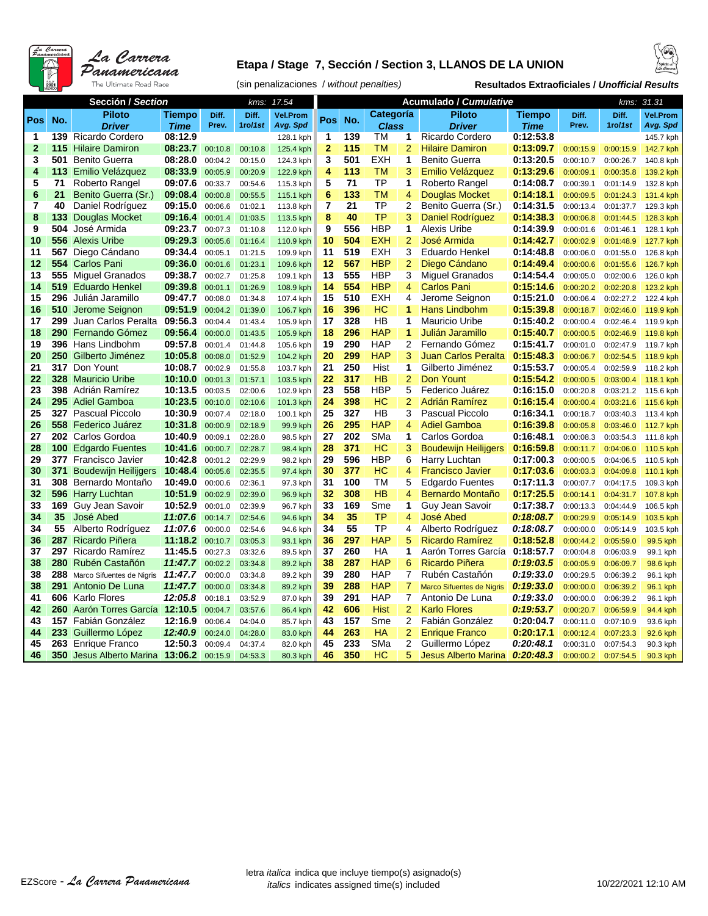

### **Etapa / Stage 7, Sección / Section 3, LLANOS DE LA UNION**



(sin penalizaciones / *without penalties)* **Resultados Extraoficiales /** *Unofficial Results*

|              | Sección / Section |                                              |                    | 17.54<br>kms:      |                    |                      |                |          |              | Acumulado / Cumulative |                                                     | kms: 31.31             |                        |                        |                      |
|--------------|-------------------|----------------------------------------------|--------------------|--------------------|--------------------|----------------------|----------------|----------|--------------|------------------------|-----------------------------------------------------|------------------------|------------------------|------------------------|----------------------|
|              |                   | <b>Piloto</b>                                | Tiempo             | Diff.              | Diff.              | <b>Vel.Prom</b>      |                |          | Categoría    |                        | <b>Piloto</b>                                       | Tiempo                 | Diff.                  | Diff.                  | <b>Vel.Prom</b>      |
| <b>Pos</b>   | No.               | <b>Driver</b>                                | <b>Time</b>        | Prev.              | 1ro/1st            | Avg. Spd             | Pos            | No.      | <b>Class</b> |                        | <b>Driver</b>                                       | Time                   | Prev.                  | $1$ ro/1st             | Avg. Spd             |
| 1            |                   | 139 Ricardo Cordero                          | 08:12.9            |                    |                    | 128.1 kph            | 1              | 139      | тм           | 1                      | Ricardo Cordero                                     | 0:12:53.8              |                        |                        | 145.7 kph            |
| $\mathbf{2}$ | 115               | <b>Hilaire Damiron</b>                       | 08:23.7            | 00:10.8            | 00:10.8            | 125.4 kph            | $\mathbf{2}$   | 115      | <b>TM</b>    | $\overline{2}$         | <b>Hilaire Damiron</b>                              | 0:13:09.7              | 0:00:15.9              | 0:00:15.9              | 142.7 kph            |
| 3            | 501               | <b>Benito Guerra</b>                         | 08:28.0            | 00:04.2            | 00:15.0            | 124.3 kph            | 3              | 501      | <b>EXH</b>   | 1                      | <b>Benito Guerra</b>                                | 0:13:20.5              | 0:00:10.7              | 0:00:26.7              | 140.8 kph            |
| 4            | 113               | Emilio Velázquez                             | 08:33.9            | 00:05.9            | 00:20.9            | 122.9 kph            | 4              | 113      | TM           | 3                      | Emilio Velázquez                                    | 0:13:29.6              | 0:00:09.1              | 0:00:35.8              | 139.2 kph            |
| 5            | 71                | Roberto Rangel                               | 09:07.6            | 00:33.7            | 00:54.6            | 115.3 kph            | 5              | 71       | TP           | 1                      | Roberto Rangel                                      | 0:14:08.7              | 0:00:39.1              | 0:01:14.9              | 132.8 kph            |
| 6            | 21                | Benito Guerra (Sr.)                          | 09:08.4            | 00:00.8            | 00:55.5            | 115.1 kph            | 6              | 133      | <b>TM</b>    | 4                      | <b>Douglas Mocket</b>                               | 0:14:18.1              | 0:00:09.5              | 0:01:24.3              | 131.4 kph            |
| 7            | 40                | Daniel Rodríguez                             | 09:15.0            | 00:06.6            | 01:02.1            | 113.8 kph            | $\overline{7}$ | 21       | TP           | $\overline{2}$         | Benito Guerra (Sr.)                                 | 0:14:31.5              | 0:00:13.4              | 0:01:37.7              | 129.3 kph            |
| 8            | 133 <sub>1</sub>  | Douglas Mocket                               | 09:16.4            | 00:01.4            | 01:03.5            | 113.5 kph            | 8              | 40       | <b>TP</b>    | 3                      | <b>Daniel Rodríguez</b>                             | 0:14:38.3              | 0:00:06.8              | 0:01:44.5              | 128.3 kph            |
| 9            | 504               | José Armida                                  | 09:23.7            | 00:07.3            | 01:10.8            | 112.0 kph            | 9              | 556      | <b>HBP</b>   | 1                      | <b>Alexis Uribe</b>                                 | 0:14:39.9              | 0:00:01.6              | 0:01:46.1              | 128.1 kph            |
| 10           | 556               | <b>Alexis Uribe</b>                          | 09:29.3            | 00:05.6            | 01:16.4            | 110.9 kph            | 10             | 504      | <b>EXH</b>   | $\overline{2}$         | José Armida                                         | 0:14:42.7              | 0:00:02.9              | 0:01:48.9              | 127.7 kph            |
| 11           | 567               | Diego Cándano                                | 09:34.4            | 00:05.1            | 01:21.5            | 109.9 kph            | 11             | 519      | <b>EXH</b>   | 3                      | Eduardo Henkel                                      | 0:14:48.8              | 0:00:06.0              | 0:01:55.0              | 126.8 kph            |
| 12           | 554               | <b>Carlos Pani</b>                           | 09:36.0            | 00:01.6            | 01:23.1            | 109.6 kph            | 12             | 567      | <b>HBP</b>   | $\overline{2}$         | Diego Cándano                                       | 0:14:49.4              | 0:00:00.6              | 0:01:55.6              | 126.7 kph            |
| 13           |                   | 555 Miguel Granados                          | 09:38.7            | 00:02.7            | 01:25.8            | 109.1 kph            | 13             | 555      | <b>HBP</b>   | 3                      | Miguel Granados                                     | 0:14:54.4              | 0:00:05.0              | 0:02:00.6              | 126.0 kph            |
| 14           |                   | 519 Eduardo Henkel                           | 09:39.8            | 00:01.1            | 01:26.9            | 108.9 kph            | 14             | 554      | <b>HBP</b>   | 4                      | <b>Carlos Pani</b>                                  | 0:15:14.6              | 0:00:20.2              | 0:02:20.8              | 123.2 kph            |
| 15           |                   | 296 Julián Jaramillo                         | 09:47.7            | 00:08.0            | 01:34.8            | 107.4 kph            | 15             | 510      | <b>EXH</b>   | 4                      | Jerome Seignon                                      | 0:15:21.0              | 0:00:06.4              | 0:02:27.2              | 122.4 kph            |
| 16           |                   | <b>510</b> Jerome Seignon                    | 09:51.9            | 00:04.2            | 01:39.0            | 106.7 kph            | 16             | 396      | HС           | 1                      | <b>Hans Lindbohm</b>                                | 0:15:39.8              | 0:00:18.7              | 0:02:46.0              | 119.9 kph            |
| 17           |                   | 299 Juan Carlos Peralta                      | 09:56.3            | 00:04.4            | 01:43.4            | 105.9 kph            | 17             | 328      | HВ           | 1                      | <b>Mauricio Uribe</b>                               | 0:15:40.2              | 0:00:00.4              | 0:02:46.4              | 119.9 kph            |
| 18           |                   | 290 Fernando Gómez                           | 09:56.4            | 00:00.0            | 01:43.5            | 105.9 kph            | 18             | 296      | <b>HAP</b>   | $\blacktriangleleft$   | Julián Jaramillo                                    | 0:15:40.7              | 0:00:00.5              | 0:02:46.9              | 119.8 kph            |
| 19           |                   | 396 Hans Lindbohm                            | 09:57.8            | 00:01.4            | 01:44.8            | 105.6 kph            | 19             | 290      | <b>HAP</b>   | $\overline{c}$         | Fernando Gómez                                      | 0:15:41.7              | 0:00:01.0              | 0:02:47.9              | 119.7 kph            |
| 20           |                   | 250 Gilberto Jiménez                         | 10:05.8            | 00:08.0            | 01:52.9            | 104.2 kph            | 20             | 299      | <b>HAP</b>   | 3                      | Juan Carlos Peralta                                 | 0:15:48.3              | 0:00:06.7              | 0:02:54.5              | 118.9 kph            |
| 21           |                   | 317 Don Yount                                | 10:08.7            | 00:02.9            | 01:55.8            | 103.7 kph            | 21             | 250      | Hist         | 1                      | Gilberto Jiménez                                    | 0:15:53.7              | 0:00:05.4              | 0:02:59.9              | 118.2 kph            |
| 22           |                   | 328 Mauricio Uribe                           | 10:10.0            | 00:01.3            | 01:57.1            | 103.5 kph            | 22             | 317      | <b>HB</b>    | $\overline{2}$         | Don Yount                                           | 0:15:54.2              | 0:00:00.5              | 0:03:00.4              | 118.1 kph            |
| 23           |                   | 398 Adrián Ramírez                           | 10:13.5            | 00:03.5            | 02:00.6            | 102.9 kph            | 23             | 558      | <b>HBP</b>   | 5                      | Federico Juárez                                     | 0:16:15.0              | 0:00:20.8              | 0:03:21.2              | 115.6 kph            |
| 24           | 295               | <b>Adiel Gamboa</b>                          | 10:23.5            | 00:10.0            | 02:10.6            | 101.3 kph            | 24             | 398      | HС           | $\overline{2}$         | Adrián Ramírez                                      | 0:16:15.4              | 0:00:00.4              | 0:03:21.6              | 115.6 kph            |
| 25           |                   | <b>327</b> Pascual Piccolo                   | 10:30.9            | 00:07.4            | 02:18.0            | 100.1 kph            | 25             | 327      | HB           | 3                      | Pascual Piccolo                                     | 0:16:34.1              | 0:00:18.7              | 0:03:40.3              | 113.4 kph            |
| 26           |                   | 558 Federico Juárez                          | 10:31.8            | 00:00.9            | 02:18.9            | 99.9 kph             | 26             | 295      | <b>HAP</b>   | $\overline{4}$         | <b>Adiel Gamboa</b>                                 | 0:16:39.8              | 0:00:05.8              | 0:03:46.0              | 112.7 kph            |
| 27           |                   | 202 Carlos Gordoa                            | 10:40.9            | 00:09.1            | 02:28.0            | 98.5 kph             | 27             | 202      | SMa          | 1                      | Carlos Gordoa                                       | 0:16:48.1              | 0:00:08.3              | 0:03:54.3              | 111.8 kph            |
| 28           |                   | <b>100 Edgardo Fuentes</b>                   | 10:41.6            | 00:00.7            | 02:28.7            | 98.4 kph             | 28             | 371      | HС           | 3                      | <b>Boudewijn Heilijgers</b>                         | 0:16:59.8              | 0:00:11.7              | 0:04:06.0              | 110.5 kph            |
| 29           |                   | 377 Francisco Javier                         | 10:42.8            | 00:01.2            | 02:29.9            | 98.2 kph             | 29             | 596      | HBP          | 6                      | Harry Luchtan                                       | 0:17:00.3              | 0:00:00.5              | 0:04:06.5              | 110.5 kph            |
| 30           | 371               | <b>Boudewijn Heilijgers</b>                  | 10:48.4            | 00:05.6            | 02:35.5            | 97.4 kph             | 30             | 377      | HС           | $\overline{4}$         | <b>Francisco Javier</b>                             | 0:17:03.6              | 0:00:03.3              | 0:04:09.8              | 110.1 kph            |
| 31           | 308               | Bernardo Montaño                             | 10:49.0            | 00:00.6            | 02:36.1            | 97.3 kph             | 31             | 100      | тм           | 5                      | <b>Edgardo Fuentes</b>                              | 0:17:11.3              | 0:00:07.7              | 0:04:17.5              | 109.3 kph            |
| 32           | 596               | <b>Harry Luchtan</b>                         | 10:51.9            | 00:02.9            | 02:39.0            | 96.9 kph             | 32             | 308      | HB           | $\overline{4}$         | <b>Bernardo Montaño</b>                             | 0:17:25.5              | 0:00:14.1              | 0:04:31.7              | 107.8 kph            |
| 33           | 169               | Guy Jean Savoir                              | 10:52.9            | 00:01.0            | 02:39.9            | 96.7 kph             | 33             | 169      | Sme          | 1                      | Guy Jean Savoir                                     | 0:17:38.7              | 0:00:13.3              | 0:04:44.9              | 106.5 kph            |
| 34           | 35                | José Abed                                    | 11:07.6            | 00:14.7            | 02:54.6            | 94.6 kph             | 34             | 35<br>55 | TP<br>ТP     | $\overline{4}$<br>4    | José Abed                                           | 0:18:08.7              | 0:00:29.9              | 0:05:14.9              | 103.5 kph            |
| 34<br>36     | 55<br>287         | Alberto Rodríguez<br>Ricardo Piñera          | 11:07.6<br>11:18.2 | 00:00.0            | 02:54.6            | 94.6 kph             | 34<br>36       | 297      | <b>HAP</b>   | 5                      | Alberto Rodríguez<br><b>Ricardo Ramírez</b>         | 0:18:08.7<br>0:18:52.8 | 0:00:00.0              | 0:05:14.9              | 103.5 kph            |
| 37           |                   | 297 Ricardo Ramírez                          | 11:45.5            | 00:10.7            | 03:05.3            | 93.1 kph             | 37             | 260      | HA           | 1                      | Aarón Torres García                                 | 0:18:57.7              | 0:00:44.2              | 0:05:59.0              | 99.5 kph             |
| 38           |                   | 280 Rubén Castañón                           | 11:47.7            | 00:27.3<br>00:02.2 | 03:32.6<br>03:34.8 | 89.5 kph             | 38             | 287      | <b>HAP</b>   | 6                      | Ricardo Piñera                                      | 0:19:03.5              | 0:00:04.8<br>0:00:05.9 | 0:06:03.9<br>0:06:09.7 | 99.1 kph             |
| 38           | 288               |                                              | 11:47.7            | 00:00.0            | 03:34.8            | 89.2 kph             | 39             | 280      | <b>HAP</b>   | 7                      | Rubén Castañón                                      | 0:19:33.0              |                        |                        | 98.6 kph             |
| 38           | 291               | Marco Sifuentes de Nigris<br>Antonio De Luna | 11:47.7            |                    |                    | 89.2 kph             | 39             | 288      | <b>HAP</b>   | 7                      |                                                     |                        | 0:00:29.5              | 0:06:39.2              | 96.1 kph             |
| 41           |                   | 606 Karlo Flores                             | 12:05.8            | 00:00.0<br>00:18.1 | 03:34.8<br>03:52.9 | 89.2 kph<br>87.0 kph | 39             | 291      | <b>HAP</b>   | 7                      | <b>Marco Sifuentes de Nigris</b><br>Antonio De Luna | 0:19:33.0<br>0:19:33.0 | 0:00:00.0<br>0:00:00.0 | 0:06:39.2<br>0:06:39.2 | 96.1 kph<br>96.1 kph |
| 42           | 260               | Aarón Torres García                          | 12:10.5            | 00:04.7            | 03:57.6            | 86.4 kph             | 42             | 606      | <b>Hist</b>  | $\overline{2}$         | <b>Karlo Flores</b>                                 | 0:19:53.7              | 0:00:20.7              | 0:06:59.9              | 94.4 kph             |
| 43           | 157               | Fabián González                              | 12:16.9            | 00:06.4            | 04:04.0            | 85.7 kph             | 43             | 157      | Sme          | 2                      | Fabián González                                     | 0:20:04.7              | 0:00:11.0              | 0:07:10.9              | 93.6 kph             |
| 44           |                   | 233 Guillermo López                          | 12:40.9            | 00:24.0            | 04:28.0            | 83.0 kph             | 44             | 263      | <b>HA</b>    | $\overline{2}$         | <b>Enrique Franco</b>                               | 0:20:17.1              | 0:00:12.4              | 0:07:23.3              | 92.6 kph             |
| 45           |                   | 263 Enrique Franco                           | 12:50.3            | 00:09.4            | 04:37.4            | 82.0 kph             | 45             | 233      | SMa          | 2                      | Guillermo López                                     | 0:20:48.1              | 0:00:31.0              | 0:07:54.3              | 90.3 kph             |
| 46           |                   | <b>350</b> Jesus Alberto Marina              | 13:06.2            | 00:15.9            | 04:53.3            | 80.3 kph             | 46             | 350      | НC           | 5                      | <b>Jesus Alberto Marina</b>                         | 0:20:48.3              | 0:00:00.2              | 0:07:54.5              | 90.3 kph             |
|              |                   |                                              |                    |                    |                    |                      |                |          |              |                        |                                                     |                        |                        |                        |                      |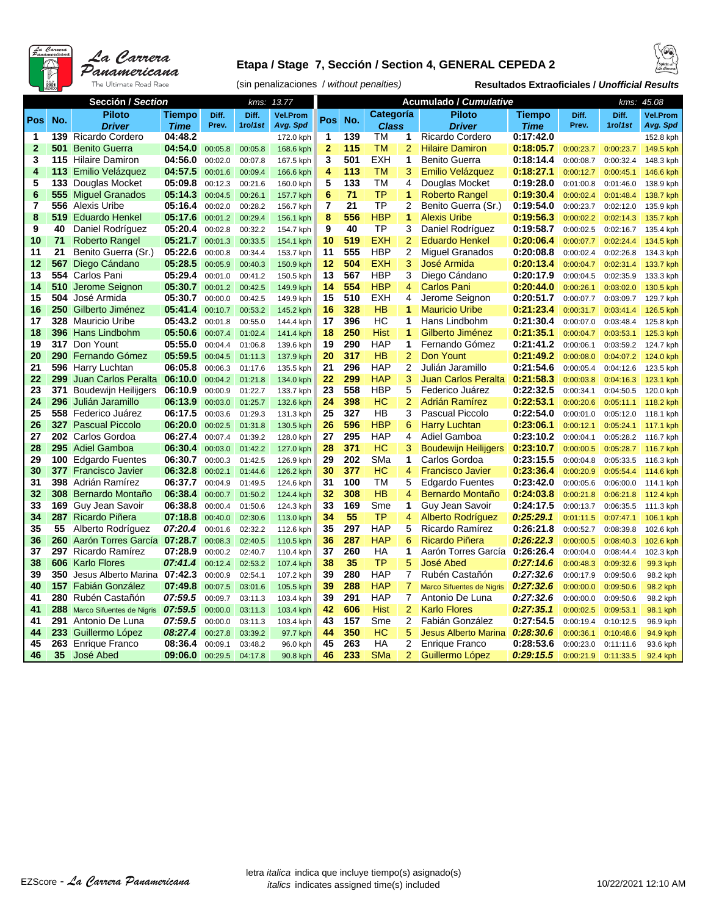

#### **Etapa / Stage 7, Sección / Section 4, GENERAL CEPEDA 2**



(sin penalizaciones / *without penalties)* **Resultados Extraoficiales /** *Unofficial Results*

|                | Sección / Section |                                           | 13.77<br>kms:      |                    |                    |                        |                          |            | <b>Acumulado / Cumulative</b> |                | kms: 45.08                                        |                        |                        |                        |                        |
|----------------|-------------------|-------------------------------------------|--------------------|--------------------|--------------------|------------------------|--------------------------|------------|-------------------------------|----------------|---------------------------------------------------|------------------------|------------------------|------------------------|------------------------|
|                |                   | <b>Piloto</b>                             | Tiempo             | Diff.              | Diff.              | <b>Vel.Prom</b>        |                          |            | Categoría                     |                | <b>Piloto</b>                                     | Tiempo                 | Diff.                  | Diff.                  | <b>Vel.Prom</b>        |
| Pos            | No.               | <b>Driver</b>                             | <b>Time</b>        | Prev.              | 1ro/1st            | Avg. Spd               | Pos                      | No.        | <b>Class</b>                  |                | <b>Driver</b>                                     | Time                   | Prev.                  | 1ro/1st                | Avg. Spd               |
| 1              | 139               | Ricardo Cordero                           | 04:48.2            |                    |                    | 172.0 kph              | 1                        | 139        | TM                            | 1              | <b>Ricardo Cordero</b>                            | 0:17:42.0              |                        |                        | 152.8 kph              |
| $\mathbf{2}$   | 501               | <b>Benito Guerra</b>                      | 04:54.0            | 00:05.8            | 00:05.8            | 168.6 kph              | $\overline{2}$           | 115        | <b>TM</b>                     | $\overline{2}$ | <b>Hilaire Damiron</b>                            | 0:18:05.7              | 0:00:23.7              | 0:00:23.7              | 149.5 kph              |
| 3              |                   | 115 Hilaire Damiron                       | 04:56.0            | 00:02.0            | 00:07.8            | 167.5 kph              | 3                        | 501        | <b>EXH</b>                    | 1              | Benito Guerra                                     | 0:18:14.4              | 0:00:08.7              | 0:00:32.4              | 148.3 kph              |
| 4              | 113               | Emilio Velázquez                          | 04:57.5            | 00:01.6            | 00:09.4            | 166.6 kph              | $\overline{\mathbf{4}}$  | 113        | <b>TM</b>                     | 3              | Emilio Velázquez                                  | 0:18:27.1              | 0:00:12.7              | 0:00:45.1              | 146.6 kph              |
| 5              | 133               | Douglas Mocket                            | 05:09.8            | 00:12.3            | 00:21.6            | 160.0 kph              | 5                        | 133        | TM                            | 4              | Douglas Mocket                                    | 0:19:28.0              | 0:01:00.8              | 0:01:46.0              | 138.9 kph              |
| 6              | 555               | <b>Miguel Granados</b>                    | 05:14.3            | 00:04.5            | 00:26.1            | 157.7 kph              | 6                        | 71         | <b>TP</b>                     | 1              | <b>Roberto Rangel</b>                             | 0:19:30.4              | 0:00:02.4              | 0:01:48.4              | 138.7 kph              |
| $\overline{7}$ |                   | 556 Alexis Uribe                          | 05:16.4            | 00:02.0            | 00:28.2            | 156.7 kph              | $\overline{\phantom{a}}$ | 21         | TP                            | $\overline{2}$ | Benito Guerra (Sr.)                               | 0:19:54.0              | 0:00:23.7              | 0:02:12.0              | 135.9 kph              |
| 8              | 519               | <b>Eduardo Henkel</b>                     | 05:17.6            | 00:01.2            | 00:29.4            | 156.1 kph              | 8                        | 556        | <b>HBP</b>                    | 1              | <b>Alexis Uribe</b>                               | 0:19:56.3              | 0:00:02.2              | 0:02:14.3              | 135.7 kph              |
| 9              | 40                | Daniel Rodríguez                          | 05:20.4            | 00:02.8            | 00:32.2            | 154.7 kph              | 9                        | 40         | <b>TP</b>                     | 3              | Daniel Rodríguez                                  | 0:19:58.7              | 0:00:02.5              | 0:02:16.7              | 135.4 kph              |
| 10             | 71                | <b>Roberto Rangel</b>                     | 05:21.7            | 00:01.3            | 00:33.5            | 154.1 kph              | 10                       | 519        | <b>EXH</b>                    | $\overline{2}$ | <b>Eduardo Henkel</b>                             | 0:20:06.4              | 0:00:07.7              | 0:02:24.4              | 134.5 kph              |
| 11             | 21                | Benito Guerra (Sr.)                       | 05:22.6            | 00:00.8            | 00:34.4            | 153.7 kph              | 11                       | 555        | <b>HBP</b>                    | $\overline{2}$ | <b>Miquel Granados</b>                            | 0:20:08.8              | 0:00:02.4              | 0:02:26.8              | 134.3 kph              |
| 12             | 567               | Diego Cándano                             | 05:28.5            | 00:05.9            | 00:40.3            | 150.9 kph              | 12                       | 504        | <b>EXH</b>                    | 3              | José Armida                                       | 0:20:13.4              | 0:00:04.7              | 0:02:31.4              | 133.7 kph              |
| 13             | 554               | Carlos Pani                               | 05:29.4            | 00:01.0            | 00:41.2            | 150.5 kph              | 13                       | 567        | <b>HBP</b>                    | 3              | Diego Cándano                                     | 0:20:17.9              | 0:00:04.5              | 0:02:35.9              | 133.3 kph              |
| 14             | 510               | Jerome Seignon                            | 05:30.7            | 00:01.2            | 00:42.5            | 149.9 kph              | 14                       | 554        | <b>HBP</b>                    | 4              | <b>Carlos Pani</b>                                | 0:20:44.0              | 0:00:26.1              | 0:03:02.0              | 130.5 kph              |
| 15             | 504               | José Armida                               | 05:30.7            | 00:00.0            | 00:42.5            | 149.9 kph              | 15                       | 510        | <b>EXH</b>                    | 4              | Jerome Seignon                                    | 0:20:51.7              | 0:00:07.7              | 0:03:09.7              | 129.7 kph              |
| 16             |                   | 250 Gilberto Jiménez                      | 05:41.4            | 00:10.7            | 00:53.2            | 145.2 kph              | 16                       | 328        | <b>HB</b>                     | 1              | <b>Mauricio Uribe</b>                             | 0:21:23.4              | 0:00:31.7              | 0:03:41.4              | 126.5 kph              |
| 17             | 328               | Mauricio Uribe                            | 05:43.2            | 00:01.8            | 00:55.0            | 144.4 kph              | 17                       | 396        | НC                            | 1              | Hans Lindbohm                                     | 0:21:30.4              | 0:00:07.0              | 0:03:48.4              | 125.8 kph              |
| 18             | 396               | <b>Hans Lindbohm</b>                      | 05:50.6            | 00:07.4            | 01:02.4            | 141.4 kph              | 18                       | 250        | <b>Hist</b>                   | 1              | Gilberto Jiménez                                  | 0:21:35.1              | 0:00:04.7              | 0:03:53.1              | 125.3 kph              |
| 19             |                   | 317 Don Yount                             | 05:55.0            | 00:04.4            | 01:06.8            | 139.6 kph              | 19                       | 290        | <b>HAP</b>                    | 1              | Fernando Gómez                                    | 0:21:41.2              | 0:00:06.1              | 0:03:59.2              | 124.7 kph              |
| 20             | 290               | Fernando Gómez                            | 05:59.5            | 00:04.5            | 01:11.3            | 137.9 kph              | 20                       | 317        | HB                            | $\overline{2}$ | Don Yount                                         | 0:21:49.2              | 0:00:08.0              | 0:04:07.2              | 124.0 kph              |
| 21             |                   | 596 Harry Luchtan                         | 06:05.8            | 00:06.3            | 01:17.6            | 135.5 kph              | 21                       | 296        | <b>HAP</b>                    | $\overline{2}$ | Julián Jaramillo                                  | 0:21:54.6              | 0:00:05.4              | 0:04:12.6              | 123.5 kph              |
| 22             | 299               | Juan Carlos Peralta                       | 06:10.0            | 00:04.2            | 01:21.8            | 134.0 kph              | 22                       | 299        | <b>HAP</b>                    | 3              | <b>Juan Carlos Peralta</b>                        | 0:21:58.3              | 0:00:03.8              | 0:04:16.3              | 123.1 kph              |
| 23             | 371               | <b>Boudewijn Heilijgers</b>               | 06:10.9            | 00:00.9            | 01:22.7            | 133.7 kph              | 23                       | 558        | <b>HBP</b>                    | 5              | Federico Juárez                                   | 0:22:32.5              | 0:00:34.1              | 0:04:50.5              | 120.0 kph              |
| 24             | 296               | Julián Jaramillo                          | 06:13.9            | 00:03.0            | 01:25.7            | 132.6 kph              | 24                       | 398        | <b>HC</b>                     | $\overline{2}$ | Adrián Ramírez                                    | 0:22:53.1              | 0:00:20.6              | 0:05:11.1              | 118.2 kph              |
| 25             |                   | 558 Federico Juárez                       | 06:17.5            | 00:03.6            | 01:29.3            | 131.3 kph              | 25                       | 327        | HB                            | 3              | <b>Pascual Piccolo</b>                            | 0:22:54.0              | 0:00:01.0              | 0:05:12.0              | 118.1 kph              |
| 26             |                   | <b>327</b> Pascual Piccolo                | 06:20.0            | 00:02.5            | 01:31.8            | 130.5 kph              | 26                       | 596        | <b>HBP</b>                    | 6              | <b>Harry Luchtan</b>                              | 0:23:06.1              | 0:00:12.1              | 0:05:24.1              | 117.1 kph              |
| 27             |                   | 202 Carlos Gordoa                         | 06:27.4            | 00:07.4            | 01:39.2            | 128.0 kph              | 27                       | 295        | <b>HAP</b>                    | 4              | Adiel Gamboa                                      | 0:23:10.2              | 0:00:04.1              | 0:05:28.2              | 116.7 kph              |
| 28             |                   | 295 Adiel Gamboa                          | 06:30.4            | 00:03.0            | 01:42.2            | 127.0 kph              | 28                       | 371        | HC                            | 3              | <b>Boudewijn Heilijgers</b>                       | 0:23:10.7              | 0:00:00.5              | 0:05:28.7              | 116.7 kph              |
| 29             |                   | 100 Edgardo Fuentes                       | 06:30.7            | 00:00.3            | 01:42.5            | 126.9 kph              | 29                       | 202        | SMa                           | 1              | Carlos Gordoa                                     | 0:23:15.5              | 0:00:04.8              | 0:05:33.5              | 116.3 kph              |
| 30             |                   | 377 Francisco Javier                      | 06:32.8            | 00:02.1            | 01:44.6            | 126.2 kph              | 30                       | 377        | HC                            | 4              | <b>Francisco Javier</b>                           | 0:23:36.4              | 0:00:20.9              | 0:05:54.4              | 114.6 kph              |
| 31<br>32       | 398               | Adrián Ramírez                            | 06:37.7<br>06:38.4 | 00:04.9            | 01:49.5            | 124.6 kph              | 31                       | 100<br>308 | ТM<br>HB                      | 5<br>4         | <b>Edgardo Fuentes</b><br><b>Bernardo Montaño</b> | 0:23:42.0<br>0:24:03.8 | 0:00:05.6              | 0:06:00.0              | 114.1 kph              |
| 33             |                   | 308 Bernardo Montaño                      | 06:38.8            | 00:00.7            | 01:50.2            | 124.4 kph              | 32<br>33                 | 169        | Sme                           | 1              |                                                   | 0:24:17.5              | 0:00:21.8              | 0:06:21.8              | 112.4 kph              |
| 34             |                   | 169 Guy Jean Savoir<br>287 Ricardo Piñera | 07:18.8            | 00:00.4            | 01:50.6<br>02:30.6 | 124.3 kph              | 34                       | 55         | <b>TP</b>                     | 4              | Guy Jean Savoir<br>Alberto Rodríguez              | 0:25:29.1              | 0:00:13.7<br>0:01:11.5 | 0:06:35.5<br>0:07:47.1 | 111.3 kph              |
| 35             | 55                | Alberto Rodríguez                         | 07:20.4            | 00:40.0<br>00:01.6 | 02:32.2            | 113.0 kph              | 35                       | 297        | <b>HAP</b>                    | 5              | Ricardo Ramírez                                   | 0:26:21.8              |                        |                        | 106.1 kph              |
| 36             |                   | 260 Aarón Torres García                   | 07:28.7            | 00:08.3            | 02:40.5            | 112.6 kph<br>110.5 kph | 36                       | 287        | <b>HAP</b>                    | 6              | Ricardo Piñera                                    | 0:26:22.3              | 0:00:52.7<br>0:00:00.5 | 0:08:39.8<br>0:08:40.3 | 102.6 kph<br>102.6 kph |
| 37             |                   | 297 Ricardo Ramírez                       | 07:28.9            | 00:00.2            | 02:40.7            | 110.4 kph              | 37                       | 260        | HA                            | 1              | Aarón Torres García                               | 0:26:26.4              | 0:00:04.0              | 0:08:44.4              | 102.3 kph              |
| 38             |                   | 606 Karlo Flores                          | 07:41.4            | 00:12.4            | 02:53.2            | 107.4 kph              | 38                       | 35         | <b>TP</b>                     | 5              | José Abed                                         | 0:27:14.6              | 0:00:48.3              | 0:09:32.6              | 99.3 kph               |
| 39             | 350               | Jesus Alberto Marina                      | 07:42.3            | 00:00.9            | 02:54.1            | 107.2 kph              | 39                       | 280        | <b>HAP</b>                    | 7              | Rubén Castañón                                    | 0:27:32.6              | 0:00:17.9              | 0:09:50.6              | 98.2 kph               |
| 40             | 157               | Fabián González                           | 07:49.8            | 00:07.5            | 03:01.6            | 105.5 kph              | 39                       | 288        | <b>HAP</b>                    | 7              | Marco Sifuentes de Nigris                         | 0:27:32.6              | 0:00:00.0              | 0:09:50.6              | 98.2 kph               |
| 41             |                   | 280 Rubén Castañón                        | 07:59.5            | 00:09.7            | 03:11.3            | 103.4 kph              | 39                       | 291        | <b>HAP</b>                    | 7              | Antonio De Luna                                   | 0:27:32.6              | 0:00:00.0              | 0:09:50.6              | 98.2 kph               |
| 41             | 288               | Marco Sifuentes de Nigris                 | 07:59.5            | 00:00.0            | 03:11.3            | 103.4 kph              | 42                       | 606        | <b>Hist</b>                   | $\overline{2}$ | <b>Karlo Flores</b>                               | 0:27:35.1              | 0:00:02.5              | 0:09:53.1              | 98.1 kph               |
| 41             |                   | 291 Antonio De Luna                       | 07:59.5            | 00:00.0            | 03:11.3            | 103.4 kph              | 43                       | 157        | Sme                           | $\overline{c}$ | Fabián González                                   | 0:27:54.5              | 0:00:19.4              | 0:10:12.5              | 96.9 kph               |
| 44             |                   | 233 Guillermo López                       | 08:27.4            | 00:27.8            | 03:39.2            | 97.7 kph               | 44                       | 350        | <b>HC</b>                     | 5              | <b>Jesus Alberto Marina</b>                       | 0:28:30.6              | 0:00:36.1              | 0:10:48.6              | 94.9 kph               |
| 45             |                   | 263 Enrique Franco                        | 08:36.4            | 00:09.1            | 03:48.2            | 96.0 kph               | 45                       | 263        | HA                            | $\overline{2}$ | <b>Enrique Franco</b>                             | 0:28:53.6              | 0:00:23.0              | 0:11:11.6              | 93.6 kph               |
| 46             | 35                | José Abed                                 | 09:06.0            | 00:29.5            | 04:17.8            | 90.8 kph               | 46                       | 233        | <b>SMa</b>                    | $\overline{2}$ | Guillermo López                                   | 0:29:15.5              | 0:00:21.9              | 0:11:33.5              | 92.4 kph               |
|                |                   |                                           |                    |                    |                    |                        |                          |            |                               |                |                                                   |                        |                        |                        |                        |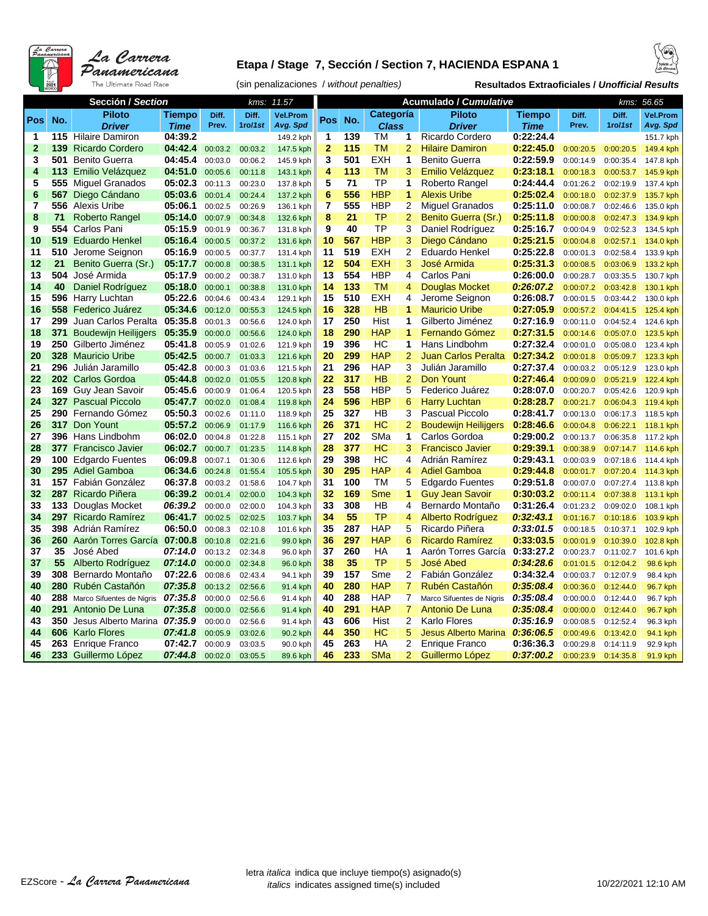

#### **Etapa / Stage 7, Sección / Section 7, HACIENDA ESPANA 1**





|              | Sección / Section |                                   |                    |                    | 11.57<br>kms:      |                      |                 |           |              | Acumulado / Cumulative |                                          | 56.65<br>kms:          |                        |                        |                        |
|--------------|-------------------|-----------------------------------|--------------------|--------------------|--------------------|----------------------|-----------------|-----------|--------------|------------------------|------------------------------------------|------------------------|------------------------|------------------------|------------------------|
|              |                   | <b>Piloto</b>                     | <b>Tiempo</b>      | Diff.              | Diff.              | <b>Vel.Prom</b>      |                 |           | Categoría    |                        | <b>Piloto</b>                            | Tiempo                 | Diff.                  | Diff.                  | <b>Vel.Prom</b>        |
| Pos          | No.               | <b>Driver</b>                     | <b>Time</b>        | Prev.              | 1ro/1st            | Avg. Spd             | Pos             | No.       | <b>Class</b> |                        | <b>Driver</b>                            | Time                   | Prev.                  | 1ro/1st                | Avg. Spd               |
| 1            | 115               | <b>Hilaire Damiron</b>            | 04:39.2            |                    |                    | 149.2 kph            | 1               | 139       | TM           | 1                      | Ricardo Cordero                          | 0:22:24.4              |                        |                        | 151.7 kph              |
| $\mathbf{2}$ | 139               | <b>Ricardo Cordero</b>            | 04:42.4            | 00:03.2            | 00:03.2            | 147.5 kph            | $\overline{2}$  | 115       | <b>TM</b>    | $\overline{2}$         | <b>Hilaire Damiron</b>                   | 0:22:45.0              | 0:00:20.5              | 0:00:20.5              | 149.4 kph              |
| 3            | 501               | <b>Benito Guerra</b>              | 04:45.4            | 00:03.0            | 00:06.2            | 145.9 kph            | 3               | 501       | <b>EXH</b>   | 1                      | <b>Benito Guerra</b>                     | 0:22:59.9              | 0:00:14.9              | 0:00:35.4              | 147.8 kph              |
| 4            | 113               | Emilio Velázquez                  | 04:51.0            | 00:05.6            | 00:11.8            | 143.1 kph            | 4               | 113       | TM           | 3                      | Emilio Velázquez                         | 0:23:18.1              | 0:00:18.3              | 0:00:53.7              | 145.9 kph              |
| 5            | 555               | <b>Miquel Granados</b>            | 05:02.3            | 00:11.3            | 00:23.0            | 137.8 kph            | 5               | 71        | ТP           | 1                      | Roberto Rangel                           | 0:24:44.4              | 0:01:26.2              | 0:02:19.9              | 137.4 kph              |
| 6            | 567               | Diego Cándano                     | 05:03.6            | 00:01.4            | 00:24.4            | 137.2 kph            | $6\phantom{1}6$ | 556       | <b>HBP</b>   | 1                      | <b>Alexis Uribe</b>                      | 0:25:02.4              | 0:00:18.0              | 0:02:37.9              | 135.7 kph              |
| 7            | 556               | <b>Alexis Uribe</b>               | 05:06.1            | 00:02.5            | 00:26.9            | 136.1 kph            | $\overline{7}$  | 555       | <b>HBP</b>   | $\overline{2}$         | <b>Miquel Granados</b>                   | 0:25:11.0              | 0:00:08.7              | 0:02:46.6              | 135.0 kph              |
| 8            | 71                | Roberto Rangel                    | 05:14.0            | 00:07.9            | 00:34.8            | 132.6 kph            | 8               | 21        | TP           | $\overline{2}$         | Benito Guerra (Sr.)                      | 0:25:11.8              | 0:00:00.8              | 0:02:47.3              | 134.9 kph              |
| 9            | 554               | Carlos Pani                       | 05:15.9            | 00:01.9            | 00:36.7            | 131.8 kph            | 9               | 40        | ТP           | 3                      | Daniel Rodríguez                         | 0:25:16.7              | 0:00:04.9              | 0:02:52.3              | 134.5 kph              |
| 10           | 519               | <b>Eduardo Henkel</b>             | 05:16.4            | 00:00.5            | 00:37.2            | 131.6 kph            | 10              | 567       | <b>HBP</b>   | 3                      | Diego Cándano                            | 0:25:21.5              | 0:00:04.8              | 0:02:57.1              | 134.0 kph              |
| 11           | 510               | Jerome Seignon                    | 05:16.9            | 00:00.5            | 00:37.7            | 131.4 kph            | 11              | 519       | <b>EXH</b>   | 2                      | Eduardo Henkel                           | 0:25:22.8              | 0:00:01.3              | 0:02:58.4              | 133.9 kph              |
| 12           | 21                | Benito Guerra (Sr.)               | 05:17.7            | 00:00.8            | 00:38.5            | 131.1 kph            | 12              | 504       | <b>EXH</b>   | 3                      | José Armida                              | 0:25:31.3              | 0:00:08.5              | 0:03:06.9              | 133.2 kph              |
| 13           | 504               | José Armida                       | 05:17.9            | 00:00.2            | 00:38.7            | 131.0 kph            | 13              | 554       | <b>HBP</b>   | 4                      | Carlos Pani                              | 0:26:00.0              | 0:00:28.7              | 0:03:35.5              | 130.7 kph              |
| 14           | 40                | Daniel Rodríguez                  | 05:18.0            | 00:00.1            | 00:38.8            | 131.0 kph            | 14              | 133       | <b>TM</b>    | 4                      | Douglas Mocket                           | 0:26:07.2              | 0:00:07.2              | 0:03:42.8              | 130.1 kph              |
| 15           | 596               | Harry Luchtan                     | 05:22.6            | 00:04.6            | 00:43.4            | 129.1 kph            | 15              | 510       | <b>EXH</b>   | 4                      | Jerome Seignon                           | 0:26:08.7              | 0:00:01.5              | 0:03:44.2              | 130.0 kph              |
| 16           | 558               | Federico Juárez                   | 05:34.6            | 00:12.0            | 00:55.3            | 124.5 kph            | 16              | 328       | HB           | 1                      | <b>Mauricio Uribe</b>                    | 0:27:05.9              | 0:00:57.2              | 0:04:41.5              | 125.4 kph              |
| 17           | 299               | Juan Carlos Peralta               | 05:35.8            | 00:01.3            | 00:56.6            | 124.0 kph            | 17              | 250       | Hist         | 1                      | Gilberto Jiménez                         | 0:27:16.9              | 0:00:11.0              | 0:04:52.4              | 124.6 kph              |
| 18           | 371               | <b>Boudewijn Heilijgers</b>       | 05:35.9            | 00:00.0            | 00:56.6            | 124.0 kph            | 18              | 290       | <b>HAP</b>   | 1                      | Fernando Gómez                           | 0:27:31.5              | 0:00:14.6              | 0:05:07.0              | 123.5 kph              |
| 19           | 250               | Gilberto Jiménez                  | 05:41.8            | 00:05.9            | 01:02.6            | 121.9 kph            | 19              | 396       | HC           | 1                      | Hans Lindbohm                            | 0:27:32.4              | 0:00:01.0              | 0:05:08.0              | 123.4 kph              |
| 20           |                   | 328 Mauricio Uribe                | 05:42.5            | 00:00.7            | 01:03.3            | 121.6 kph            | 20              | 299       | <b>HAP</b>   | $\overline{2}$         | Juan Carlos Peralta                      | 0:27:34.2              | 0:00:01.8              | 0:05:09.7              | 123.3 kph              |
| 21           | 296               | Julián Jaramillo                  | 05:42.8            | 00:00.3            | 01:03.6            | 121.5 kph            | 21              | 296       | <b>HAP</b>   | 3                      | Julián Jaramillo                         | 0:27:37.4              | 0:00:03.2              | 0:05:12.9              | 123.0 kph              |
| 22           |                   | 202 Carlos Gordoa                 | 05:44.8            | 00:02.0            | 01:05.5            | 120.8 kph            | 22              | 317       | HB           | $\overline{2}$         | Don Yount                                | 0:27:46.4              | 0:00:09.0              | 0:05:21.9              | 122.4 kph              |
| 23           |                   | 169 Guy Jean Savoir               | 05:45.6            | 00:00.9            | 01:06.4            | 120.5 kph            | 23              | 558       | <b>HBP</b>   | 5                      | Federico Juárez                          | 0:28:07.0              | 0:00:20.7              | 0:05:42.6              | 120.9 kph              |
| 24           |                   | <b>327 Pascual Piccolo</b>        | 05:47.7            | 00:02.0            | 01:08.4            | 119.8 kph            | 24              | 596       | <b>HBP</b>   | 6                      | <b>Harry Luchtan</b>                     | 0:28:28.7              | 0:00:21.7              | 0:06:04.3              | 119.4 kph              |
| 25           |                   | 290 Fernando Gómez                | 05:50.3            | 00:02.6            | 01:11.0            | 118.9 kph            | 25              | 327       | НB           | 3                      | <b>Pascual Piccolo</b>                   | 0:28:41.7              | 0:00:13.0              | 0:06:17.3              | 118.5 kph              |
| 26           |                   | 317 Don Yount                     | 05:57.2            | 00:06.9            | 01:17.9            | 116.6 kph            | 26              | 371       | <b>HC</b>    | $\overline{2}$         | <b>Boudewijn Heilijgers</b>              | 0:28:46.6              | 0:00:04.8              | 0:06:22.1              | 118.1 kph              |
| 27           |                   | 396 Hans Lindbohm                 | 06:02.0            | 00:04.8            | 01:22.8            | 115.1 kph            | 27              | 202       | SMa          | 1                      | Carlos Gordoa                            | 0:29:00.2              | 0:00:13.7              | 0:06:35.8              | 117.2 kph              |
| 28           |                   | <b>377</b> Francisco Javier       | 06:02.7            | 00:00.7            | 01:23.5            | 114.8 kph            | 28              | 377       | <b>HC</b>    | 3                      | <b>Francisco Javier</b>                  | 0:29:39.1              | 0:00:38.9              | 0:07:14.7              | 114.6 kph              |
| 29           |                   | 100 Edgardo Fuentes               | 06:09.8            | 00:07.1            | 01:30.6            | 112.6 kph            | 29              | 398       | HC           | 4                      | Adrián Ramírez                           | 0:29:43.1              | 0:00:03.9              | 0:07:18.6              | 114.4 kph              |
| 30           |                   | 295 Adiel Gamboa                  | 06:34.6            | 00:24.8            | 01:55.4            | 105.5 kph            | 30              | 295       | <b>HAP</b>   | 4                      | <b>Adiel Gamboa</b>                      | 0:29:44.8              | 0:00:01.7              | 0:07:20.4              | 114.3 kph              |
| 31           |                   | 157 Fabián González               | 06:37.8            | 00:03.2            | 01:58.6            | 104.7 kph            | 31              | 100       | TM           | 5                      | <b>Edgardo Fuentes</b>                   | 0:29:51.8              | 0:00:07.0              | 0:07:27.4              | 113.8 kph              |
| 32           | 287               | Ricardo Piñera                    | 06:39.2            | 00:01.4            | 02:00.0            | 104.3 kph            | 32              | 169       | Sme          | 1                      | <b>Guy Jean Savoir</b>                   | 0:30:03.2              | 0:00:11.4              | 0:07:38.8              | 113.1 kph              |
| 33<br>34     | 133<br>297        | Douglas Mocket<br>Ricardo Ramírez | 06:39.2<br>06:41.7 | 00:00.0            | 02:00.0            | 104.3 kph            | 33<br>34        | 308<br>55 | HB<br>TP     | 4<br>4                 | Bernardo Montaño                         | 0:31:26.4<br>0:32:43.1 | 0:01:23.2              | 0:09:02.0              | 108.1 kph              |
| 35           |                   | 398 Adrián Ramírez                | 06:50.0            | 00:02.5            | 02:02.5            | 103.7 kph            | 35              | 287       | <b>HAP</b>   | 5                      | Alberto Rodríguez                        | 0:33:01.5              | 0:01:16.7              | 0:10:18.6              | 103.9 kph              |
| 36           | 260               | Aarón Torres García               | 07:00.8            | 00:08.3<br>00:10.8 | 02:10.8<br>02:21.6 | 101.6 kph            | 36              | 297       | <b>HAP</b>   | 6                      | Ricardo Piñera<br><b>Ricardo Ramírez</b> | 0:33:03.5              | 0:00:18.5<br>0:00:01.9 | 0:10:37.1<br>0:10:39.0 | 102.9 kph<br>102.8 kph |
| 37           | 35                | José Abed                         | 07:14.0            | 00:13.2            | 02:34.8            | 99.0 kph<br>96.0 kph | 37              | 260       | HA           | 1                      | Aarón Torres García                      | 0:33:27.2              | 0:00:23.7              | 0:11:02.7              | 101.6 kph              |
| 37           | 55                | Alberto Rodríguez                 | 07:14.0            | 00:00.0            | 02:34.8            | 96.0 kph             | 38              | 35        | TP           | 5                      | José Abed                                | 0:34:28.6              | 0:01:01.5              | 0:12:04.2              | 98.6 kph               |
| 39           | 308               | Bernardo Montaño                  | 07:22.6            | 00:08.6            | 02:43.4            | 94.1 kph             | 39              | 157       | Sme          | $\overline{2}$         | Fabián González                          | 0:34:32.4              | 0:00:03.7              | 0:12:07.9              | 98.4 kph               |
| 40           | 280               | Rubén Castañón                    | 07:35.8            | 00:13.2            | 02:56.6            | 91.4 kph             | 40              | 280       | <b>HAP</b>   | $\overline{7}$         | Rubén Castañón                           | 0:35:08.4              | 0:00:36.0              | 0:12:44.0              | 96.7 kph               |
| 40           | 288               | Marco Sifuentes de Nigris         | 07:35.8            | 00:00.0            | 02:56.6            | 91.4 kph             | 40              | 288       | <b>HAP</b>   | 7                      | Marco Sifuentes de Nigris                | 0:35:08.4              | 0:00:00.0              | 0:12:44.0              | 96.7 kph               |
| 40           | 291               | Antonio De Luna                   | 07:35.8            | 00:00.0            | 02:56.6            | 91.4 kph             | 40              | 291       | <b>HAP</b>   | 7                      | Antonio De Luna                          | 0:35:08.4              | 0:00:00.0              | 0:12:44.0              | 96.7 kph               |
| 43           | 350               | Jesus Alberto Marina 07:35.9      |                    | 00:00.0            | 02:56.6            | 91.4 kph             | 43              | 606       | Hist         | $\overline{2}$         | <b>Karlo Flores</b>                      | 0:35:16.9              | 0:00:08.5              | 0:12:52.4              | 96.3 kph               |
| 44           | 606               | <b>Karlo Flores</b>               | 07:41.8            | 00:05.9            | 03:02.6            | 90.2 kph             | 44              | 350       | <b>HC</b>    | 5                      | <b>Jesus Alberto Marina</b>              | 0:36:06.5              | 0:00:49.6              | 0:13:42.0              | 94.1 kph               |
| 45           |                   | 263 Enrique Franco                | 07:42.7            | 00:00.9            | 03:03.5            | 90.0 kph             | 45              | 263       | HA           | 2                      | <b>Enrique Franco</b>                    | 0:36:36.3              | 0:00:29.8              | 0:14:11.9              | 92.9 kph               |
| 46           |                   | 233 Guillermo López               | 07:44.8            | 00:02.0            | 03:05.5            | 89.6 kph             | 46              | 233       | <b>SMa</b>   | $\overline{2}$         | Guillermo López                          | 0:37:00.2              | 0:00:23.9              | 0:14:35.8              | 91.9 kph               |